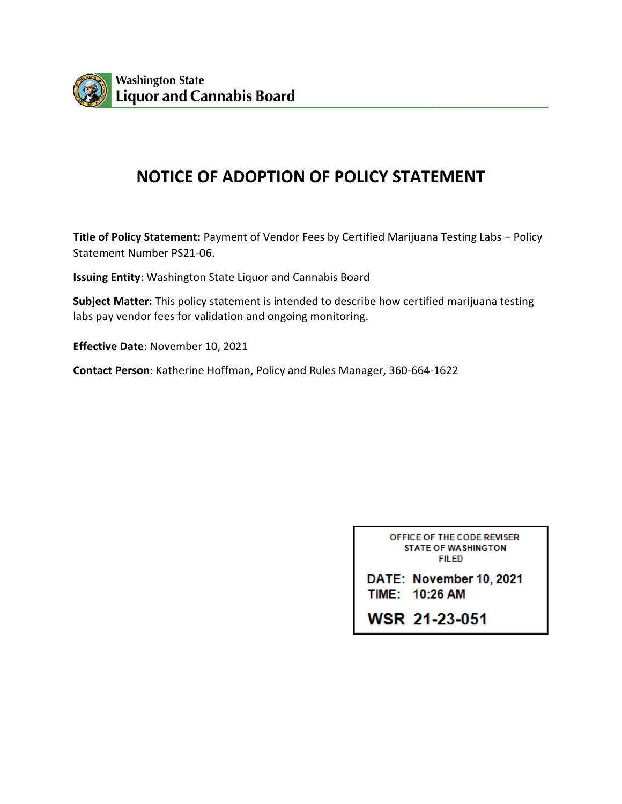

# **NOTICE OF ADOPTION OF POLICY STATEMENT**

**Title of Policy Statement:** Payment of Vendor Fees by Certified Marijuana Testing Labs – Policy Statement Number PS21-06.

**Issuing Entity**: Washington State Liquor and Cannabis Board

**Subject Matter:** This policy statement is intended to describe how certified marijuana testing labs pay vendor fees for validation and ongoing monitoring.

**Effective Date**: November 10, 2021

**Contact Person**: Katherine Hoffman, Policy and Rules Manager, 360-664-1622

| OFFICE OF THE CODE REVISER<br><b>STATE OF WASHINGTON</b><br>FIL FD |  |  |
|--------------------------------------------------------------------|--|--|
| DATE: November 10, 2021<br>TIME: 10:26 AM                          |  |  |
| WSR 21-23-051                                                      |  |  |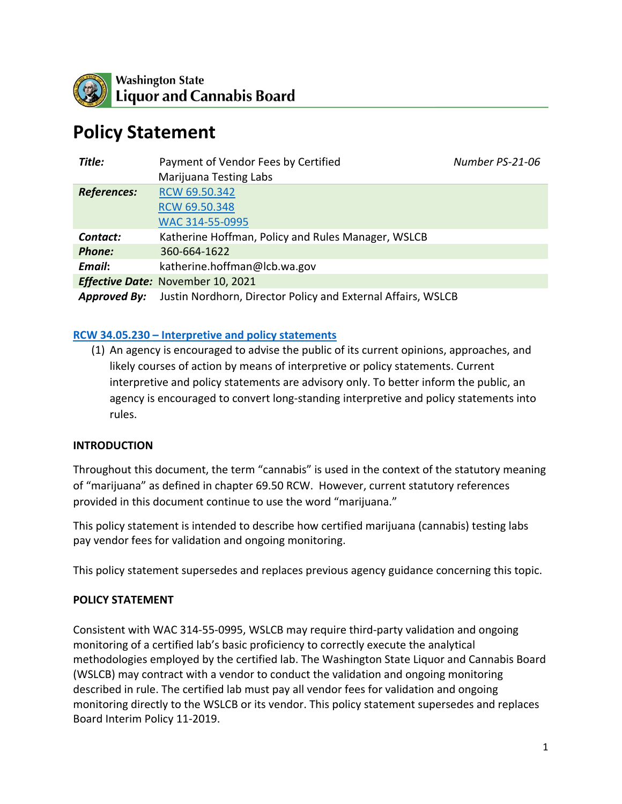

# **Policy Statement**

| Title:              | Payment of Vendor Fees by Certified<br>Marijuana Testing Labs | Number PS-21-06 |
|---------------------|---------------------------------------------------------------|-----------------|
| <b>References:</b>  | RCW 69.50.342<br>RCW 69.50.348<br>WAC 314-55-0995             |                 |
| Contact:            | Katherine Hoffman, Policy and Rules Manager, WSLCB            |                 |
| <b>Phone:</b>       | 360-664-1622                                                  |                 |
| Email:              | katherine.hoffman@lcb.wa.gov                                  |                 |
|                     | Effective Date: November 10, 2021                             |                 |
| <b>Approved By:</b> | Justin Nordhorn, Director Policy and External Affairs, WSLCB  |                 |

#### **RCW 34.05.230 – [Interpretive and policy statements](https://app.leg.wa.gov/rcw/default.aspx?cite=34.05.230)**

(1) An agency is encouraged to advise the public of its current opinions, approaches, and likely courses of action by means of interpretive or policy statements. Current interpretive and policy statements are advisory only. To better inform the public, an agency is encouraged to convert long-standing interpretive and policy statements into rules.

#### **INTRODUCTION**

Throughout this document, the term "cannabis" is used in the context of the statutory meaning of "marijuana" as defined in chapter 69.50 RCW. However, current statutory references provided in this document continue to use the word "marijuana."

This policy statement is intended to describe how certified marijuana (cannabis) testing labs pay vendor fees for validation and ongoing monitoring.

This policy statement supersedes and replaces previous agency guidance concerning this topic.

#### **POLICY STATEMENT**

Consistent with WAC 314-55-0995, WSLCB may require third-party validation and ongoing monitoring of a certified lab's basic proficiency to correctly execute the analytical methodologies employed by the certified lab. The Washington State Liquor and Cannabis Board (WSLCB) may contract with a vendor to conduct the validation and ongoing monitoring described in rule. The certified lab must pay all vendor fees for validation and ongoing monitoring directly to the WSLCB or its vendor. This policy statement supersedes and replaces Board Interim Policy 11-2019.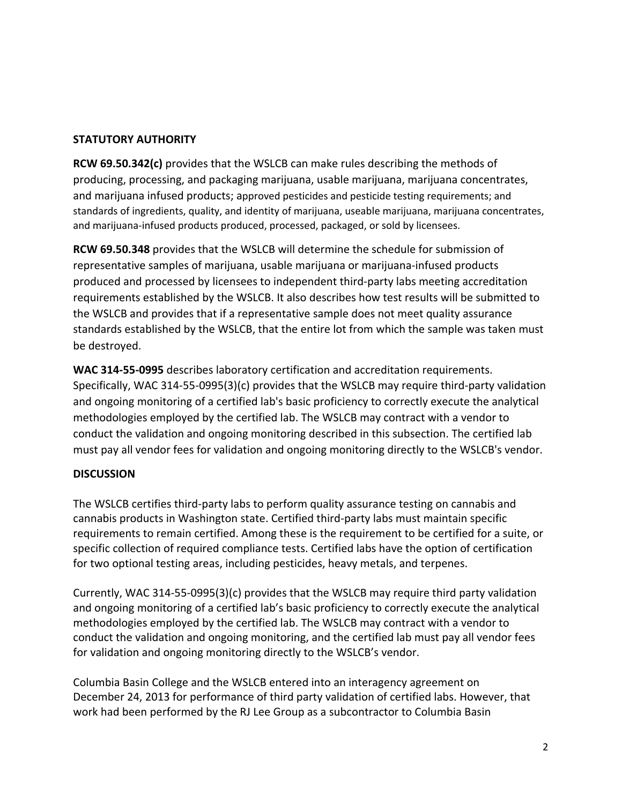## **STATUTORY AUTHORITY**

**RCW 69.50.342(c)** provides that the WSLCB can make rules describing the methods of producing, processing, and packaging marijuana, usable marijuana, marijuana concentrates, and marijuana infused products; approved pesticides and pesticide testing requirements; and standards of ingredients, quality, and identity of marijuana, useable marijuana, marijuana concentrates, and marijuana-infused products produced, processed, packaged, or sold by licensees.

**RCW 69.50.348** provides that the WSLCB will determine the schedule for submission of representative samples of marijuana, usable marijuana or marijuana-infused products produced and processed by licensees to independent third-party labs meeting accreditation requirements established by the WSLCB. It also describes how test results will be submitted to the WSLCB and provides that if a representative sample does not meet quality assurance standards established by the WSLCB, that the entire lot from which the sample was taken must be destroyed.

**WAC 314-55-0995** describes laboratory certification and accreditation requirements. Specifically, WAC 314-55-0995(3)(c) provides that the WSLCB may require third-party validation and ongoing monitoring of a certified lab's basic proficiency to correctly execute the analytical methodologies employed by the certified lab. The WSLCB may contract with a vendor to conduct the validation and ongoing monitoring described in this subsection. The certified lab must pay all vendor fees for validation and ongoing monitoring directly to the WSLCB's vendor.

## **DISCUSSION**

The WSLCB certifies third-party labs to perform quality assurance testing on cannabis and cannabis products in Washington state. Certified third-party labs must maintain specific requirements to remain certified. Among these is the requirement to be certified for a suite, or specific collection of required compliance tests. Certified labs have the option of certification for two optional testing areas, including pesticides, heavy metals, and terpenes.

Currently, WAC 314-55-0995(3)(c) provides that the WSLCB may require third party validation and ongoing monitoring of a certified lab's basic proficiency to correctly execute the analytical methodologies employed by the certified lab. The WSLCB may contract with a vendor to conduct the validation and ongoing monitoring, and the certified lab must pay all vendor fees for validation and ongoing monitoring directly to the WSLCB's vendor.

Columbia Basin College and the WSLCB entered into an interagency agreement on December 24, 2013 for performance of third party validation of certified labs. However, that work had been performed by the RJ Lee Group as a subcontractor to Columbia Basin